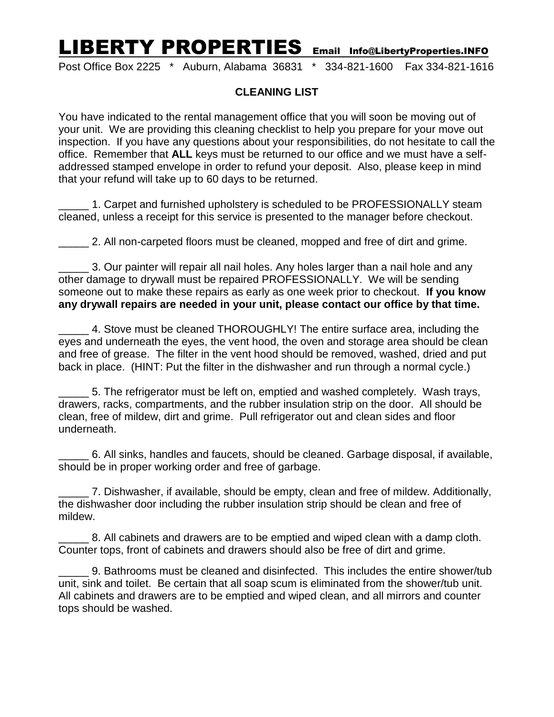## LIBERTY PROPERTIES Email Info@LibertyProperties.INFO

Post Office Box 2225 \* Auburn, Alabama 36831 \* 334-821-1600 Fax 334-821-1616

## **CLEANING LIST**

You have indicated to the rental management office that you will soon be moving out of your unit. We are providing this cleaning checklist to help you prepare for your move out inspection. If you have any questions about your responsibilities, do not hesitate to call the office. Remember that **ALL** keys must be returned to our office and we must have a selfaddressed stamped envelope in order to refund your deposit. Also, please keep in mind that your refund will take up to 60 days to be returned.

1. Carpet and furnished upholstery is scheduled to be PROFESSIONALLY steam cleaned, unless a receipt for this service is presented to the manager before checkout.

**2.** All non-carpeted floors must be cleaned, mopped and free of dirt and grime.

\_\_\_\_\_ 3. Our painter will repair all nail holes. Any holes larger than a nail hole and any other damage to drywall must be repaired PROFESSIONALLY. We will be sending someone out to make these repairs as early as one week prior to checkout. **If you know any drywall repairs are needed in your unit, please contact our office by that time.**

\_\_\_\_\_ 4. Stove must be cleaned THOROUGHLY! The entire surface area, including the eyes and underneath the eyes, the vent hood, the oven and storage area should be clean and free of grease. The filter in the vent hood should be removed, washed, dried and put back in place. (HINT: Put the filter in the dishwasher and run through a normal cycle.)

\_\_\_\_\_ 5. The refrigerator must be left on, emptied and washed completely. Wash trays, drawers, racks, compartments, and the rubber insulation strip on the door. All should be clean, free of mildew, dirt and grime. Pull refrigerator out and clean sides and floor underneath.

\_\_\_\_\_ 6. All sinks, handles and faucets, should be cleaned. Garbage disposal, if available, should be in proper working order and free of garbage.

7. Dishwasher, if available, should be empty, clean and free of mildew. Additionally, the dishwasher door including the rubber insulation strip should be clean and free of mildew.

\_\_\_\_\_ 8. All cabinets and drawers are to be emptied and wiped clean with a damp cloth. Counter tops, front of cabinets and drawers should also be free of dirt and grime.

\_\_\_\_\_ 9. Bathrooms must be cleaned and disinfected. This includes the entire shower/tub unit, sink and toilet. Be certain that all soap scum is eliminated from the shower/tub unit. All cabinets and drawers are to be emptied and wiped clean, and all mirrors and counter tops should be washed.